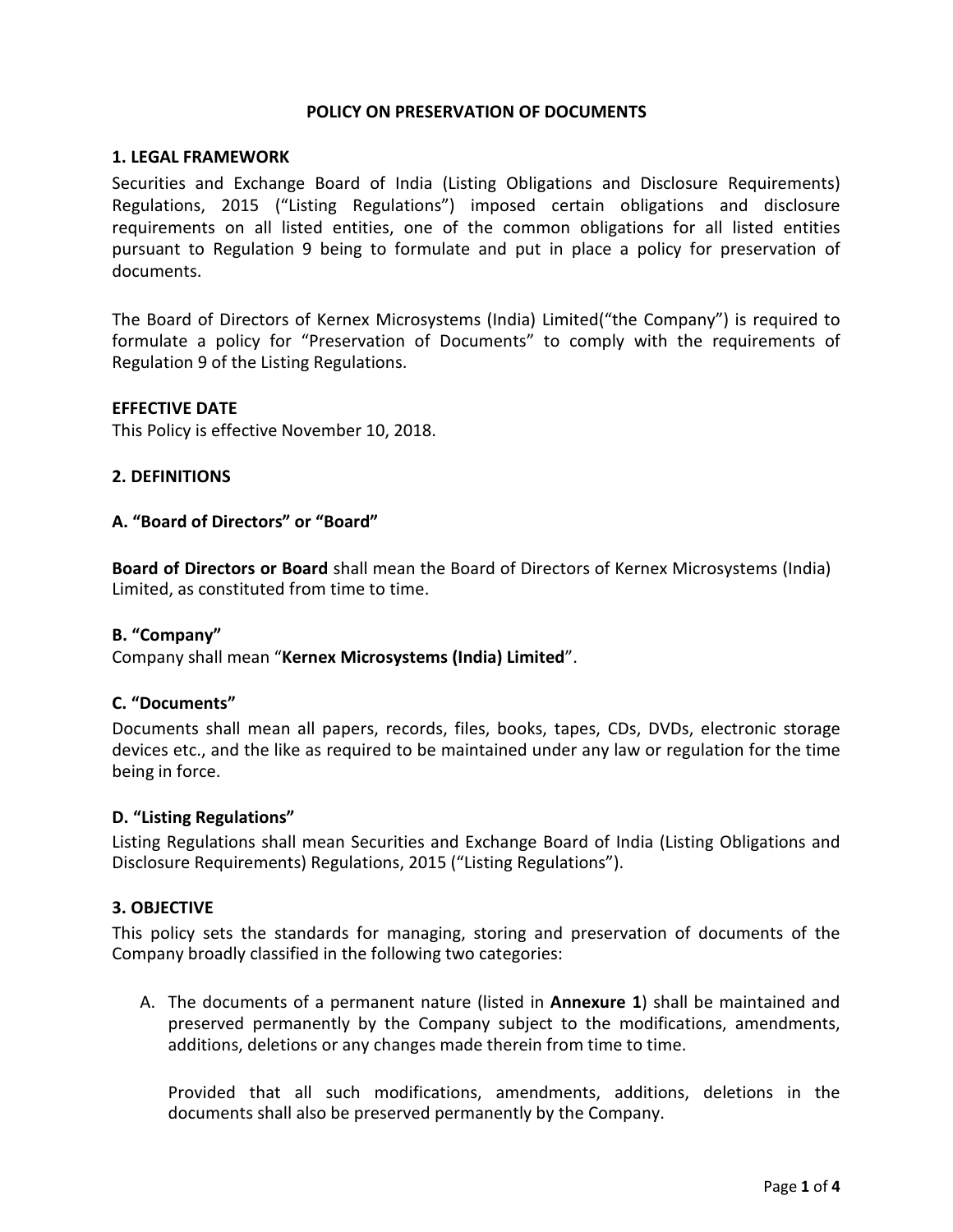## **POLICY ON PRESERVATION OF DOCUMENTS**

### **1. LEGAL FRAMEWORK**

Securities and Exchange Board of India (Listing Obligations and Disclosure Requirements) Regulations, 2015 ("Listing Regulations") imposed certain obligations and disclosure requirements on all listed entities, one of the common obligations for all listed entities pursuant to Regulation 9 being to formulate and put in place a policy for preservation of documents.

The Board of Directors of Kernex Microsystems (India) Limited("the Company") is required to formulate a policy for "Preservation of Documents" to comply with the requirements of Regulation 9 of the Listing Regulations.

### **EFFECTIVE DATE**

This Policy is effective November 10, 2018.

### **2. DEFINITIONS**

### **A. "Board of Directors" or "Board"**

**Board of Directors or Board** shall mean the Board of Directors of Kernex Microsystems (India) Limited, as constituted from time to time.

### **B. "Company"**

Company shall mean "**Kernex Microsystems (India) Limited**".

## **C. "Documents"**

Documents shall mean all papers, records, files, books, tapes, CDs, DVDs, electronic storage devices etc., and the like as required to be maintained under any law or regulation for the time being in force.

#### **D. "Listing Regulations"**

Listing Regulations shall mean Securities and Exchange Board of India (Listing Obligations and Disclosure Requirements) Regulations, 2015 ("Listing Regulations").

### **3. OBJECTIVE**

This policy sets the standards for managing, storing and preservation of documents of the Company broadly classified in the following two categories:

A. The documents of a permanent nature (listed in **Annexure 1**) shall be maintained and preserved permanently by the Company subject to the modifications, amendments, additions, deletions or any changes made therein from time to time.

Provided that all such modifications, amendments, additions, deletions in the documents shall also be preserved permanently by the Company.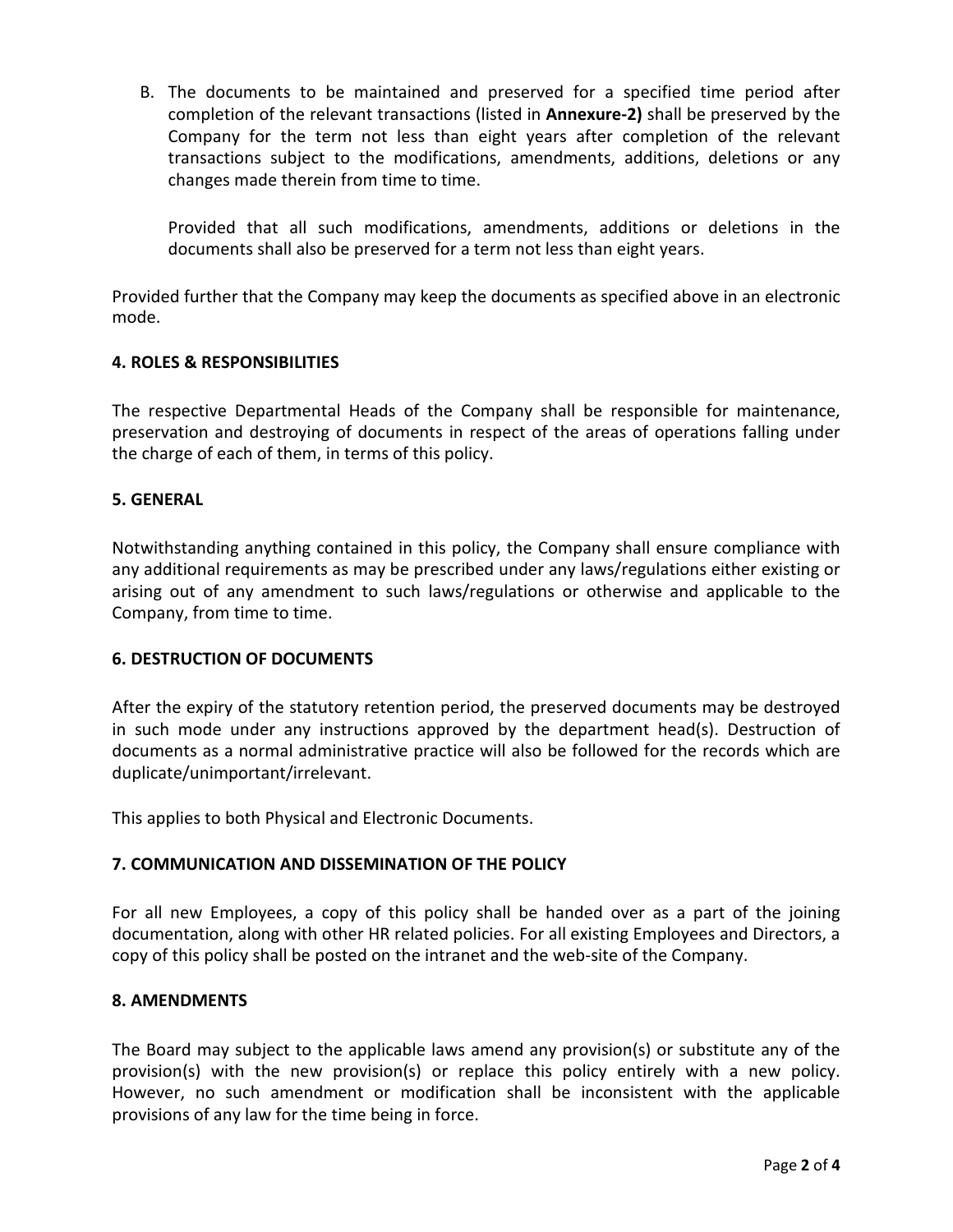B. The documents to be maintained and preserved for a specified time period after completion of the relevant transactions (listed in **Annexure-2)** shall be preserved by the Company for the term not less than eight years after completion of the relevant transactions subject to the modifications, amendments, additions, deletions or any changes made therein from time to time.

Provided that all such modifications, amendments, additions or deletions in the documents shall also be preserved for a term not less than eight years.

Provided further that the Company may keep the documents as specified above in an electronic mode.

## **4. ROLES & RESPONSIBILITIES**

The respective Departmental Heads of the Company shall be responsible for maintenance, preservation and destroying of documents in respect of the areas of operations falling under the charge of each of them, in terms of this policy.

## **5. GENERAL**

Notwithstanding anything contained in this policy, the Company shall ensure compliance with any additional requirements as may be prescribed under any laws/regulations either existing or arising out of any amendment to such laws/regulations or otherwise and applicable to the Company, from time to time.

## **6. DESTRUCTION OF DOCUMENTS**

After the expiry of the statutory retention period, the preserved documents may be destroyed in such mode under any instructions approved by the department head(s). Destruction of documents as a normal administrative practice will also be followed for the records which are duplicate/unimportant/irrelevant.

This applies to both Physical and Electronic Documents.

### **7. COMMUNICATION AND DISSEMINATION OF THE POLICY**

For all new Employees, a copy of this policy shall be handed over as a part of the joining documentation, along with other HR related policies. For all existing Employees and Directors, a copy of this policy shall be posted on the intranet and the web-site of the Company.

### **8. AMENDMENTS**

The Board may subject to the applicable laws amend any provision(s) or substitute any of the provision(s) with the new provision(s) or replace this policy entirely with a new policy. However, no such amendment or modification shall be inconsistent with the applicable provisions of any law for the time being in force.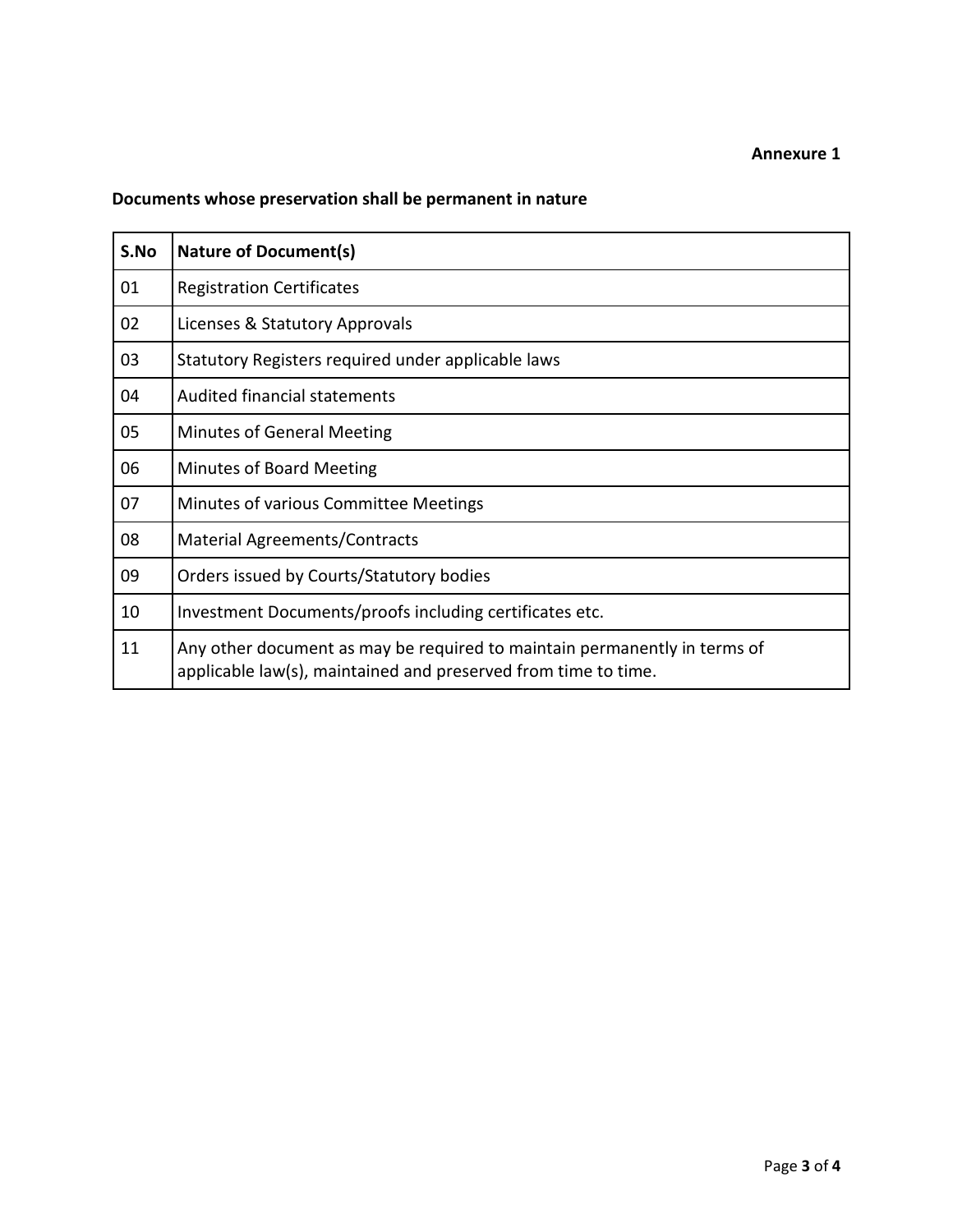# **Documents whose preservation shall be permanent in nature**

| S.No | <b>Nature of Document(s)</b>                                                                                                                |
|------|---------------------------------------------------------------------------------------------------------------------------------------------|
| 01   | <b>Registration Certificates</b>                                                                                                            |
| 02   | Licenses & Statutory Approvals                                                                                                              |
| 03   | Statutory Registers required under applicable laws                                                                                          |
| 04   | <b>Audited financial statements</b>                                                                                                         |
| 05   | <b>Minutes of General Meeting</b>                                                                                                           |
| 06   | <b>Minutes of Board Meeting</b>                                                                                                             |
| 07   | Minutes of various Committee Meetings                                                                                                       |
| 08   | <b>Material Agreements/Contracts</b>                                                                                                        |
| 09   | Orders issued by Courts/Statutory bodies                                                                                                    |
| 10   | Investment Documents/proofs including certificates etc.                                                                                     |
| 11   | Any other document as may be required to maintain permanently in terms of<br>applicable law(s), maintained and preserved from time to time. |